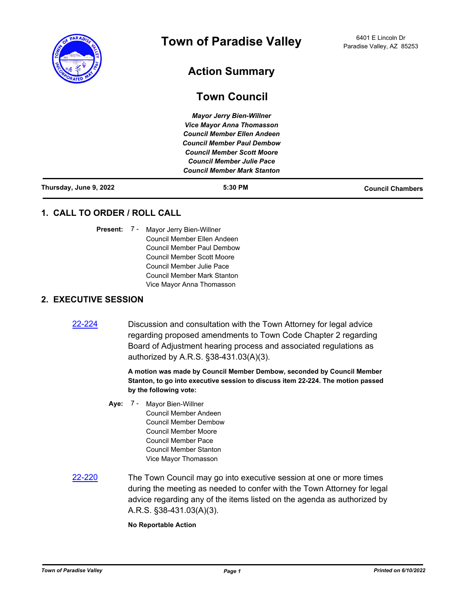

# **Action Summary**

# **Town Council**

*Mayor Jerry Bien-Willner Vice Mayor Anna Thomasson Council Member Ellen Andeen Council Member Paul Dembow Council Member Scott Moore Council Member Julie Pace Council Member Mark Stanton*

| Thursday, June 9, 2022 | 5:30 PM | <b>Council Chambers</b> |
|------------------------|---------|-------------------------|
|                        |         |                         |

## **1. CALL TO ORDER / ROLL CALL**

Present: 7 - Mayor Jerry Bien-Willner Council Member Ellen Andeen Council Member Paul Dembow Council Member Scott Moore Council Member Julie Pace Council Member Mark Stanton Vice Mayor Anna Thomasson

### **2. EXECUTIVE SESSION**

[22-224](http://paradisevalleyaz.legistar.com/gateway.aspx?m=l&id=/matter.aspx?key=4322) Discussion and consultation with the Town Attorney for legal advice regarding proposed amendments to Town Code Chapter 2 regarding Board of Adjustment hearing process and associated regulations as authorized by A.R.S. §38-431.03(A)(3).

> **A motion was made by Council Member Dembow, seconded by Council Member Stanton, to go into executive session to discuss item 22-224. The motion passed by the following vote:**

- **Aye:** Mayor Bien-Willner Council Member Andeen Council Member Dembow Council Member Moore Council Member Pace Council Member Stanton Vice Mayor Thomasson Aye: 7 -
- [22-220](http://paradisevalleyaz.legistar.com/gateway.aspx?m=l&id=/matter.aspx?key=4318) The Town Council may go into executive session at one or more times during the meeting as needed to confer with the Town Attorney for legal advice regarding any of the items listed on the agenda as authorized by A.R.S. §38-431.03(A)(3).

**No Reportable Action**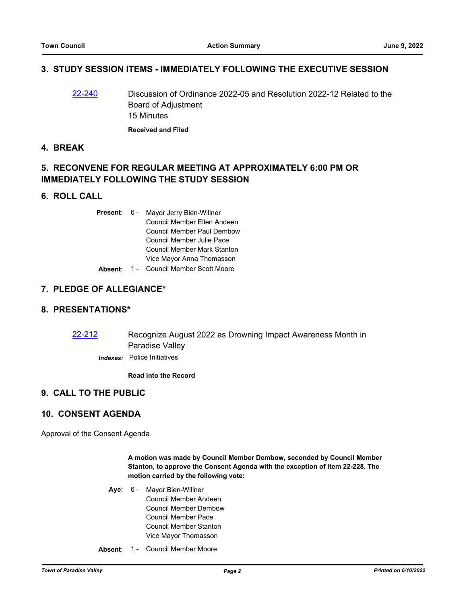## **3. STUDY SESSION ITEMS - IMMEDIATELY FOLLOWING THE EXECUTIVE SESSION**

- [22-240](http://paradisevalleyaz.legistar.com/gateway.aspx?m=l&id=/matter.aspx?key=4338) Discussion of Ordinance 2022-05 and Resolution 2022-12 Related to the Board of Adjustment 15 Minutes **Received and Filed**
- **4. BREAK**

## **5. RECONVENE FOR REGULAR MEETING AT APPROXIMATELY 6:00 PM OR IMMEDIATELY FOLLOWING THE STUDY SESSION**

#### **6. ROLL CALL**

| <b>Present: 6 -</b> | Mayor Jerry Bien-Willner          |  |
|---------------------|-----------------------------------|--|
|                     | Council Member Ellen Andeen       |  |
|                     | <b>Council Member Paul Dembow</b> |  |
|                     | Council Member Julie Pace         |  |
|                     | Council Member Mark Stanton       |  |
|                     | Vice Mayor Anna Thomasson         |  |
| Alberta Albert      |                                   |  |

### **Absent:** 1 - Council Member Scott Moore

### **7. PLEDGE OF ALLEGIANCE\***

#### **8. PRESENTATIONS\***

[22-212](http://paradisevalleyaz.legistar.com/gateway.aspx?m=l&id=/matter.aspx?key=4310) Recognize August 2022 as Drowning Impact Awareness Month in Paradise Valley

*Indexes:* Police Initiatives

**Read into the Record**

## **9. CALL TO THE PUBLIC**

## **10. CONSENT AGENDA**

Approval of the Consent Agenda

**A motion was made by Council Member Dembow, seconded by Council Member Stanton, to approve the Consent Agenda with the exception of item 22-228. The motion carried by the following vote:**

- Aye: 6 Mayor Bien-Willner Council Member Andeen Council Member Dembow Council Member Pace Council Member Stanton Vice Mayor Thomasson
- **Absent:** 1 Council Member Moore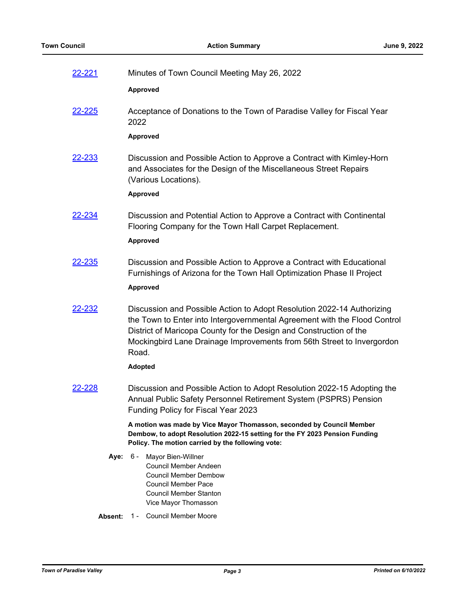| 22-221        |      | Minutes of Town Council Meeting May 26, 2022                                                                                                                                                                                                                                                                 |
|---------------|------|--------------------------------------------------------------------------------------------------------------------------------------------------------------------------------------------------------------------------------------------------------------------------------------------------------------|
|               |      | Approved                                                                                                                                                                                                                                                                                                     |
| <u>22-225</u> |      | Acceptance of Donations to the Town of Paradise Valley for Fiscal Year<br>2022                                                                                                                                                                                                                               |
|               |      | <b>Approved</b>                                                                                                                                                                                                                                                                                              |
| 22-233        |      | Discussion and Possible Action to Approve a Contract with Kimley-Horn<br>and Associates for the Design of the Miscellaneous Street Repairs<br>(Various Locations).<br>Approved                                                                                                                               |
| 22-234        |      | Discussion and Potential Action to Approve a Contract with Continental<br>Flooring Company for the Town Hall Carpet Replacement.<br><b>Approved</b>                                                                                                                                                          |
| <u>22-235</u> |      | Discussion and Possible Action to Approve a Contract with Educational<br>Furnishings of Arizona for the Town Hall Optimization Phase II Project<br>Approved                                                                                                                                                  |
| <u>22-232</u> |      | Discussion and Possible Action to Adopt Resolution 2022-14 Authorizing<br>the Town to Enter into Intergovernmental Agreement with the Flood Control<br>District of Maricopa County for the Design and Construction of the<br>Mockingbird Lane Drainage Improvements from 56th Street to Invergordon<br>Road. |
|               |      | <b>Adopted</b>                                                                                                                                                                                                                                                                                               |
| 22-228        |      | Discussion and Possible Action to Adopt Resolution 2022-15 Adopting the<br>Annual Public Safety Personnel Retirement System (PSPRS) Pension<br>Funding Policy for Fiscal Year 2023                                                                                                                           |
|               |      | A motion was made by Vice Mayor Thomasson, seconded by Council Member<br>Dembow, to adopt Resolution 2022-15 setting for the FY 2023 Pension Funding<br>Policy. The motion carried by the following vote:                                                                                                    |
|               | Aye: | $6 -$<br>Mayor Bien-Willner<br>Council Member Andeen<br><b>Council Member Dembow</b><br>Council Member Pace<br>Council Member Stanton<br>Vice Mayor Thomasson                                                                                                                                                |

Absent: 1 - Council Member Moore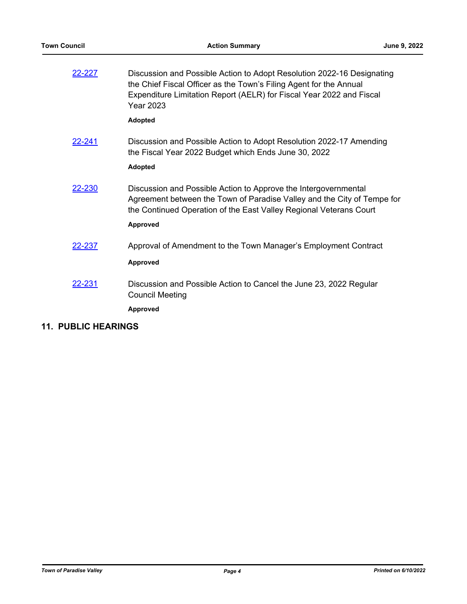| 22-227        | Discussion and Possible Action to Adopt Resolution 2022-16 Designating<br>the Chief Fiscal Officer as the Town's Filing Agent for the Annual<br>Expenditure Limitation Report (AELR) for Fiscal Year 2022 and Fiscal<br><b>Year 2023</b> |
|---------------|------------------------------------------------------------------------------------------------------------------------------------------------------------------------------------------------------------------------------------------|
|               | <b>Adopted</b>                                                                                                                                                                                                                           |
| <u>22-241</u> | Discussion and Possible Action to Adopt Resolution 2022-17 Amending<br>the Fiscal Year 2022 Budget which Ends June 30, 2022<br><b>Adopted</b>                                                                                            |
| 22-230        | Discussion and Possible Action to Approve the Intergovernmental<br>Agreement between the Town of Paradise Valley and the City of Tempe for<br>the Continued Operation of the East Valley Regional Veterans Court<br>Approved             |
| 22-237        | Approval of Amendment to the Town Manager's Employment Contract<br>Approved                                                                                                                                                              |
| 22-231        | Discussion and Possible Action to Cancel the June 23, 2022 Regular<br><b>Council Meeting</b><br><b>Approved</b>                                                                                                                          |

# **11. PUBLIC HEARINGS**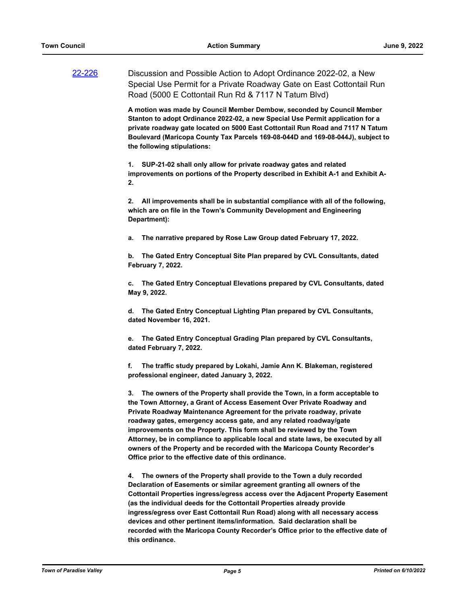[22-226](http://paradisevalleyaz.legistar.com/gateway.aspx?m=l&id=/matter.aspx?key=4324) Discussion and Possible Action to Adopt Ordinance 2022-02, a New Special Use Permit for a Private Roadway Gate on East Cottontail Run Road (5000 E Cottontail Run Rd & 7117 N Tatum Blvd)

> **A motion was made by Council Member Dembow, seconded by Council Member Stanton to adopt Ordinance 2022-02, a new Special Use Permit application for a private roadway gate located on 5000 East Cottontail Run Road and 7117 N Tatum Boulevard (Maricopa County Tax Parcels 169-08-044D and 169-08-044J), subject to the following stipulations:**

> **1. SUP-21-02 shall only allow for private roadway gates and related improvements on portions of the Property described in Exhibit A-1 and Exhibit A-2.**

> **2. All improvements shall be in substantial compliance with all of the following, which are on file in the Town's Community Development and Engineering Department):**

**a. The narrative prepared by Rose Law Group dated February 17, 2022.**

**b. The Gated Entry Conceptual Site Plan prepared by CVL Consultants, dated February 7, 2022.**

**c. The Gated Entry Conceptual Elevations prepared by CVL Consultants, dated May 9, 2022.**

**d. The Gated Entry Conceptual Lighting Plan prepared by CVL Consultants, dated November 16, 2021.**

**e. The Gated Entry Conceptual Grading Plan prepared by CVL Consultants, dated February 7, 2022.**

**f. The traffic study prepared by Lokahi, Jamie Ann K. Blakeman, registered professional engineer, dated January 3, 2022.**

**3. The owners of the Property shall provide the Town, in a form acceptable to the Town Attorney, a Grant of Access Easement Over Private Roadway and Private Roadway Maintenance Agreement for the private roadway, private roadway gates, emergency access gate, and any related roadway/gate improvements on the Property. This form shall be reviewed by the Town Attorney, be in compliance to applicable local and state laws, be executed by all owners of the Property and be recorded with the Maricopa County Recorder's Office prior to the effective date of this ordinance.**

**4. The owners of the Property shall provide to the Town a duly recorded Declaration of Easements or similar agreement granting all owners of the Cottontail Properties ingress/egress access over the Adjacent Property Easement (as the individual deeds for the Cottontail Properties already provide ingress/egress over East Cottontail Run Road) along with all necessary access devices and other pertinent items/information. Said declaration shall be recorded with the Maricopa County Recorder's Office prior to the effective date of this ordinance.**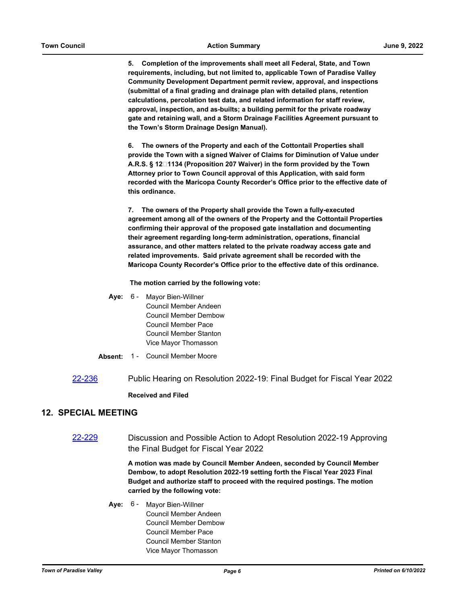**5. Completion of the improvements shall meet all Federal, State, and Town requirements, including, but not limited to, applicable Town of Paradise Valley Community Development Department permit review, approval, and inspections (submittal of a final grading and drainage plan with detailed plans, retention calculations, percolation test data, and related information for staff review, approval, inspection, and as-builts; a building permit for the private roadway gate and retaining wall, and a Storm Drainage Facilities Agreement pursuant to the Town's Storm Drainage Design Manual).**

**6. The owners of the Property and each of the Cottontail Properties shall provide the Town with a signed Waiver of Claims for Diminution of Value under A.R.S. § 12‐1134 (Proposition 207 Waiver) in the form provided by the Town Attorney prior to Town Council approval of this Application, with said form recorded with the Maricopa County Recorder's Office prior to the effective date of this ordinance.**

**7. The owners of the Property shall provide the Town a fully-executed agreement among all of the owners of the Property and the Cottontail Properties confirming their approval of the proposed gate installation and documenting their agreement regarding long-term administration, operations, financial assurance, and other matters related to the private roadway access gate and related improvements. Said private agreement shall be recorded with the Maricopa County Recorder's Office prior to the effective date of this ordinance.**

 **The motion carried by the following vote:**

- Aye: 6 Mayor Bien-Willner Council Member Andeen Council Member Dembow Council Member Pace Council Member Stanton Vice Mayor Thomasson
- **Absent:** 1 Council Member Moore
- [22-236](http://paradisevalleyaz.legistar.com/gateway.aspx?m=l&id=/matter.aspx?key=4334) Public Hearing on Resolution 2022-19: Final Budget for Fiscal Year 2022

#### **Received and Filed**

#### **12. SPECIAL MEETING**

[22-229](http://paradisevalleyaz.legistar.com/gateway.aspx?m=l&id=/matter.aspx?key=4327) Discussion and Possible Action to Adopt Resolution 2022-19 Approving the Final Budget for Fiscal Year 2022

> **A motion was made by Council Member Andeen, seconded by Council Member Dembow, to adopt Resolution 2022-19 setting forth the Fiscal Year 2023 Final Budget and authorize staff to proceed with the required postings. The motion carried by the following vote:**

Aye: 6 - Mayor Bien-Willner Council Member Andeen Council Member Dembow Council Member Pace Council Member Stanton Vice Mayor Thomasson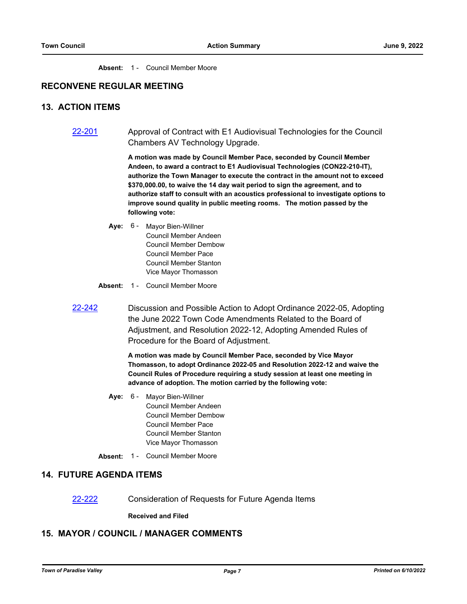Absent: 1 - Council Member Moore

### **RECONVENE REGULAR MEETING**

#### **13. ACTION ITEMS**

[22-201](http://paradisevalleyaz.legistar.com/gateway.aspx?m=l&id=/matter.aspx?key=4299) Approval of Contract with E1 Audiovisual Technologies for the Council Chambers AV Technology Upgrade.

> **A motion was made by Council Member Pace, seconded by Council Member Andeen, to award a contract to E1 Audiovisual Technologies (CON22-210-IT), authorize the Town Manager to execute the contract in the amount not to exceed \$370,000.00, to waive the 14 day wait period to sign the agreement, and to authorize staff to consult with an acoustics professional to investigate options to improve sound quality in public meeting rooms. The motion passed by the following vote:**

- **Aye:** Mayor Bien-Willner Council Member Andeen Council Member Dembow Council Member Pace Council Member Stanton Vice Mayor Thomasson Aye: 6 -
- **Absent:** 1 Council Member Moore
- [22-242](http://paradisevalleyaz.legistar.com/gateway.aspx?m=l&id=/matter.aspx?key=4340) Discussion and Possible Action to Adopt Ordinance 2022-05, Adopting the June 2022 Town Code Amendments Related to the Board of Adjustment, and Resolution 2022-12, Adopting Amended Rules of Procedure for the Board of Adjustment.

**A motion was made by Council Member Pace, seconded by Vice Mayor Thomasson, to adopt Ordinance 2022-05 and Resolution 2022-12 and waive the Council Rules of Procedure requiring a study session at least one meeting in advance of adoption. The motion carried by the following vote:**

- **Aye:** Mayor Bien-Willner Council Member Andeen Council Member Dembow Council Member Pace Council Member Stanton Vice Mayor Thomasson **Aye: 6 -**
- Absent: 1 Council Member Moore

#### **14. FUTURE AGENDA ITEMS**

[22-222](http://paradisevalleyaz.legistar.com/gateway.aspx?m=l&id=/matter.aspx?key=4320) Consideration of Requests for Future Agenda Items

**Received and Filed**

## **15. MAYOR / COUNCIL / MANAGER COMMENTS**